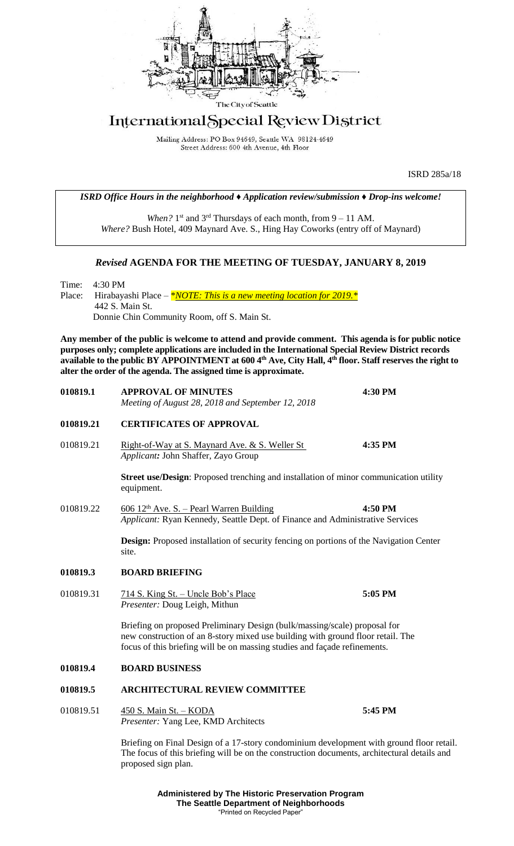

## International Special Review District

Mailing Address: PO Box 94649, Seattle WA 98124-4649 Street Address: 600 4th Avenue, 4th Floor

ISRD 285a/18

*ISRD Office Hours in the neighborhood ♦ Application review/submission ♦ Drop-ins welcome!*

When? 1<sup>st</sup> and 3<sup>rd</sup> Thursdays of each month, from 9 – 11 AM. *Where?* Bush Hotel, 409 Maynard Ave. S., Hing Hay Coworks (entry off of Maynard)

## *Revised* **AGENDA FOR THE MEETING OF TUESDAY, JANUARY 8, 2019**

Time: 4:30 PM Place: Hirabayashi Place – *\*<u>NOTE:</u> This is a new meeting location for 2019.* \* 442 S. Main St. Donnie Chin Community Room, off S. Main St.

**Any member of the public is welcome to attend and provide comment. This agenda is for public notice purposes only; complete applications are included in the International Special Review District records available to the public BY APPOINTMENT at 600 4th Ave, City Hall, 4th floor. Staff reserves the right to alter the order of the agenda. The assigned time is approximate.** 

| 010819.1  | <b>APPROVAL OF MINUTES</b><br>Meeting of August 28, 2018 and September 12, 2018                                                                                                                                                           | 4:30 PM |
|-----------|-------------------------------------------------------------------------------------------------------------------------------------------------------------------------------------------------------------------------------------------|---------|
| 010819.21 | <b>CERTIFICATES OF APPROVAL</b>                                                                                                                                                                                                           |         |
| 010819.21 | <u>Right-of-Way at S. Maynard Ave. &amp; S. Weller St.</u><br>Applicant: John Shaffer, Zayo Group                                                                                                                                         | 4:35 PM |
|           | <b>Street use/Design:</b> Proposed trenching and installation of minor communication utility<br>equipment.                                                                                                                                |         |
| 010819.22 | $606$ 12 <sup>th</sup> Ave. S. – Pearl Warren Building<br>Applicant: Ryan Kennedy, Seattle Dept. of Finance and Administrative Services                                                                                                   | 4:50 PM |
|           | <b>Design:</b> Proposed installation of security fencing on portions of the Navigation Center<br>site.                                                                                                                                    |         |
| 010819.3  | <b>BOARD BRIEFING</b>                                                                                                                                                                                                                     |         |
| 010819.31 | 714 S. King St. - Uncle Bob's Place<br>Presenter: Doug Leigh, Mithun                                                                                                                                                                      | 5:05 PM |
|           | Briefing on proposed Preliminary Design (bulk/massing/scale) proposal for<br>new construction of an 8-story mixed use building with ground floor retail. The<br>focus of this briefing will be on massing studies and façade refinements. |         |
| 010819.4  | <b>BOARD BUSINESS</b>                                                                                                                                                                                                                     |         |
| 010819.5  | <b>ARCHITECTURAL REVIEW COMMITTEE</b>                                                                                                                                                                                                     |         |
| 010819.51 | 450 S. Main St. - KODA<br>Presenter: Yang Lee, KMD Architects                                                                                                                                                                             | 5:45 PM |
|           | Briefing on Final Design of a 17-story condominium development with ground floor retail.<br>The focus of this briefing will be on the construction documents, architectural details and<br>proposed sign plan.                            |         |